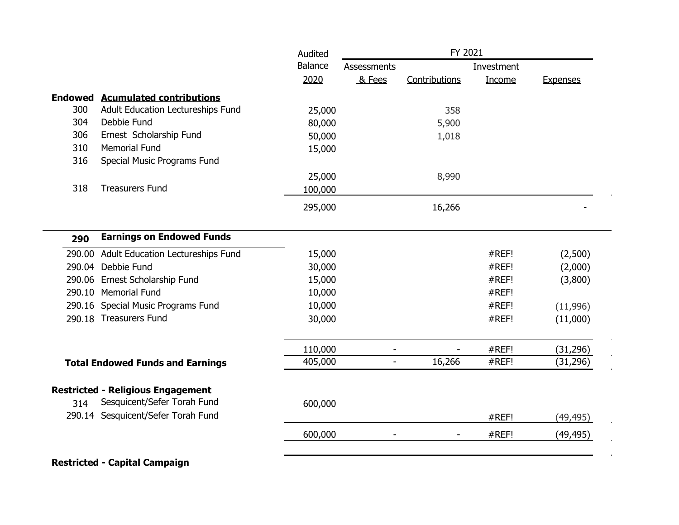|                |                                          | Audited        | FY 2021                  |               |            |                 |
|----------------|------------------------------------------|----------------|--------------------------|---------------|------------|-----------------|
|                |                                          | <b>Balance</b> | <b>Assessments</b>       |               | Investment |                 |
|                |                                          | 2020           | & Fees                   | Contributions | Income     | <b>Expenses</b> |
| <b>Endowed</b> | <b>Acumulated contributions</b>          |                |                          |               |            |                 |
| 300            | Adult Education Lectureships Fund        | 25,000         |                          | 358           |            |                 |
| 304            | Debbie Fund                              | 80,000         |                          | 5,900         |            |                 |
| 306            | Ernest Scholarship Fund                  | 50,000         |                          | 1,018         |            |                 |
| 310            | <b>Memorial Fund</b>                     | 15,000         |                          |               |            |                 |
| 316            | Special Music Programs Fund              |                |                          |               |            |                 |
|                |                                          | 25,000         |                          | 8,990         |            |                 |
| 318            | <b>Treasurers Fund</b>                   | 100,000        |                          |               |            |                 |
|                |                                          | 295,000        |                          | 16,266        |            |                 |
| 290            | <b>Earnings on Endowed Funds</b>         |                |                          |               |            |                 |
| 290.00         | Adult Education Lectureships Fund        | 15,000         |                          |               | #REF!      | (2,500)         |
|                | 290.04 Debbie Fund                       | 30,000         |                          |               | #REF!      | (2,000)         |
|                | 290.06 Ernest Scholarship Fund           | 15,000         |                          |               | #REF!      | (3,800)         |
|                | 290.10 Memorial Fund                     | 10,000         |                          |               | #REF!      |                 |
|                | 290.16 Special Music Programs Fund       | 10,000         |                          |               | #REF!      | (11,996)        |
|                | 290.18 Treasurers Fund                   | 30,000         |                          |               | #REF!      | (11,000)        |
|                |                                          | 110,000        |                          |               | #REF!      | (31, 296)       |
|                | <b>Total Endowed Funds and Earnings</b>  | 405,000        | $\overline{\phantom{a}}$ | 16,266        | #REF!      | (31, 296)       |
|                | <b>Restricted - Religious Engagement</b> |                |                          |               |            |                 |
| 314            | Sesquicent/Sefer Torah Fund              | 600,000        |                          |               |            |                 |
|                | 290.14 Sesquicent/Sefer Torah Fund       |                |                          |               | #REF!      | (49, 495)       |
|                |                                          | 600,000        |                          |               | #REF!      | (49,495)        |

 $\mathbf{r}$  $\Delta$  $\pm$ 

 $\cdot$  :  $\mathbf{r}$ 

## **Restricted - Capital Campaign**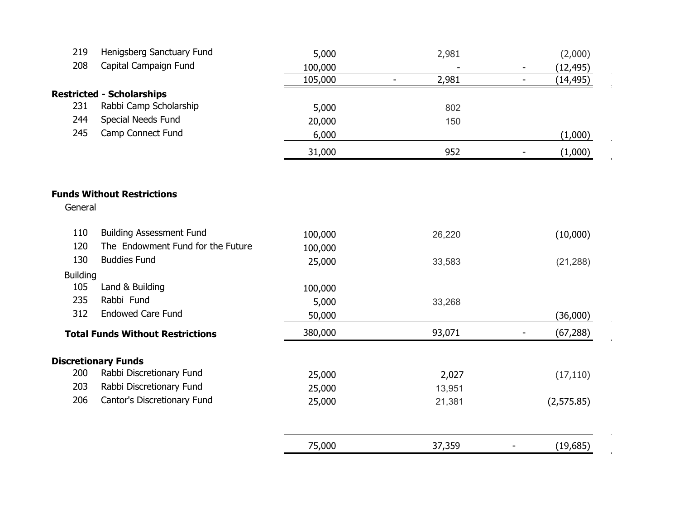| 219             | Henigsberg Sanctuary Fund               | 5,000   | 2,981                   | (2,000)                               |
|-----------------|-----------------------------------------|---------|-------------------------|---------------------------------------|
| 208             | Capital Campaign Fund                   | 100,000 |                         | (12, 495)                             |
|                 |                                         | 105,000 | 2,981<br>$\blacksquare$ | (14, 495)<br>$\overline{\phantom{a}}$ |
|                 | <b>Restricted - Scholarships</b>        |         |                         |                                       |
| 231             | Rabbi Camp Scholarship                  | 5,000   | 802                     |                                       |
| 244             | Special Needs Fund                      | 20,000  | 150                     |                                       |
| 245             | Camp Connect Fund                       | 6,000   |                         | (1,000)                               |
|                 |                                         | 31,000  | 952                     | (1,000)<br>$\overline{\phantom{0}}$   |
|                 | <b>Funds Without Restrictions</b>       |         |                         |                                       |
| General         |                                         |         |                         |                                       |
| 110             | <b>Building Assessment Fund</b>         | 100,000 | 26,220                  | (10,000)                              |
| 120             | The Endowment Fund for the Future       | 100,000 |                         |                                       |
| 130             | <b>Buddies Fund</b>                     | 25,000  | 33,583                  | (21, 288)                             |
| <b>Building</b> |                                         |         |                         |                                       |
| 105             | Land & Building                         | 100,000 |                         |                                       |
| 235             | Rabbi Fund                              | 5,000   | 33,268                  |                                       |
| 312             | <b>Endowed Care Fund</b>                | 50,000  |                         | (36,000)                              |
|                 | <b>Total Funds Without Restrictions</b> | 380,000 | 93,071                  | (67, 288)                             |
|                 | <b>Discretionary Funds</b>              |         |                         |                                       |
| 200             | Rabbi Discretionary Fund                | 25,000  | 2,027                   | (17, 110)                             |
| 203             | Rabbi Discretionary Fund                | 25,000  | 13,951                  |                                       |
| 206             | Cantor's Discretionary Fund             | 25,000  | 21,381                  | (2, 575.85)                           |
|                 |                                         |         |                         |                                       |
|                 |                                         | 75,000  | 37,359                  | (19,685)                              |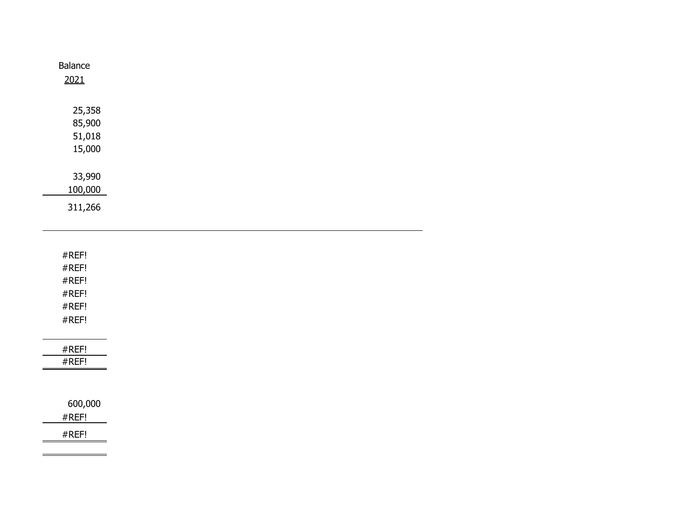| Balance<br>2021 |  |  |  |
|-----------------|--|--|--|
| 25,358          |  |  |  |
| 85,900          |  |  |  |
| 51,018          |  |  |  |
| 15,000          |  |  |  |
| 33,990          |  |  |  |
| 100,000         |  |  |  |
| 311,266         |  |  |  |

| #REF!<br>#REF!<br>#REF!<br>#REF!<br>#REF!<br>#REF!<br>#REF!<br>#REF! |
|----------------------------------------------------------------------|
|                                                                      |
|                                                                      |
|                                                                      |
|                                                                      |
|                                                                      |
|                                                                      |
|                                                                      |
|                                                                      |
|                                                                      |
|                                                                      |
|                                                                      |
|                                                                      |
| 600,000                                                              |
| #REF!                                                                |
| #REF!                                                                |
|                                                                      |